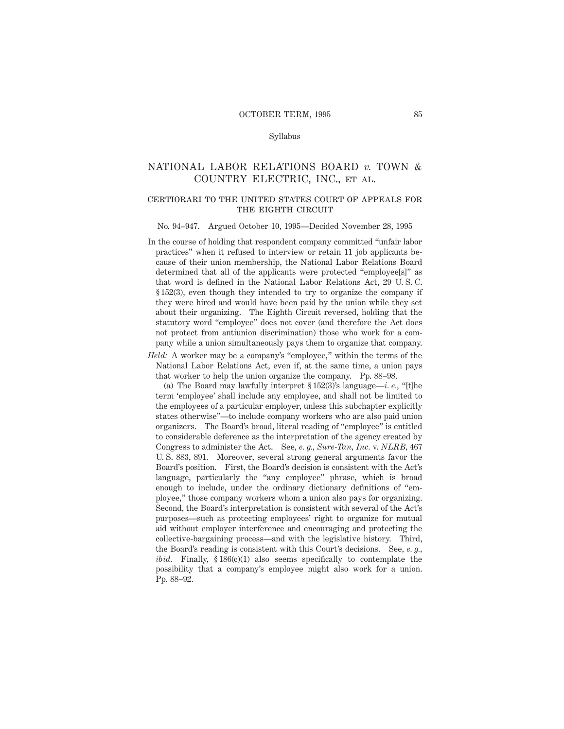## Syllabus

# NATIONAL LABOR RELATIONS BOARD *v.* TOWN & COUNTRY ELECTRIC, INC., et al.

## certiorari to the united states court of appeals forTHE EIGHTH CIRCUIT

#### No. 94–947. Argued October 10, 1995—Decided November 28, 1995

- In the course of holding that respondent company committed "unfair labor practices" when it refused to interview or retain 11 job applicants because of their union membership, the National Labor Relations Board determined that all of the applicants were protected "employee[s]" as that word is defined in the National Labor Relations Act, 29 U. S. C. § 152(3), even though they intended to try to organize the company if they were hired and would have been paid by the union while they set about their organizing. The Eighth Circuit reversed, holding that the statutory word "employee" does not cover (and therefore the Act does not protect from antiunion discrimination) those who work for a company while a union simultaneously pays them to organize that company.
- *Held:* A worker may be a company's "employee," within the terms of the National Labor Relations Act, even if, at the same time, a union pays that worker to help the union organize the company. Pp. 88–98.

(a) The Board may lawfully interpret § 152(3)'s language—*i. e.,* "[t]he term 'employee' shall include any employee, and shall not be limited to the employees of a particular employer, unless this subchapter explicitly states otherwise"—to include company workers who are also paid union organizers. The Board's broad, literal reading of "employee" is entitled to considerable deference as the interpretation of the agency created by Congress to administer the Act. See, *e. g., Sure-Tan, Inc.* v. *NLRB,* 467 U. S. 883, 891. Moreover, several strong general arguments favor the Board's position. First, the Board's decision is consistent with the Act's language, particularly the "any employee" phrase, which is broad enough to include, under the ordinary dictionary definitions of "employee," those company workers whom a union also pays for organizing. Second, the Board's interpretation is consistent with several of the Act's purposes—such as protecting employees' right to organize for mutual aid without employer interference and encouraging and protecting the collective-bargaining process—and with the legislative history. Third, the Board's reading is consistent with this Court's decisions. See, *e. g., ibid.* Finally, § 186(c)(1) also seems specifically to contemplate the possibility that a company's employee might also work for a union. Pp. 88–92.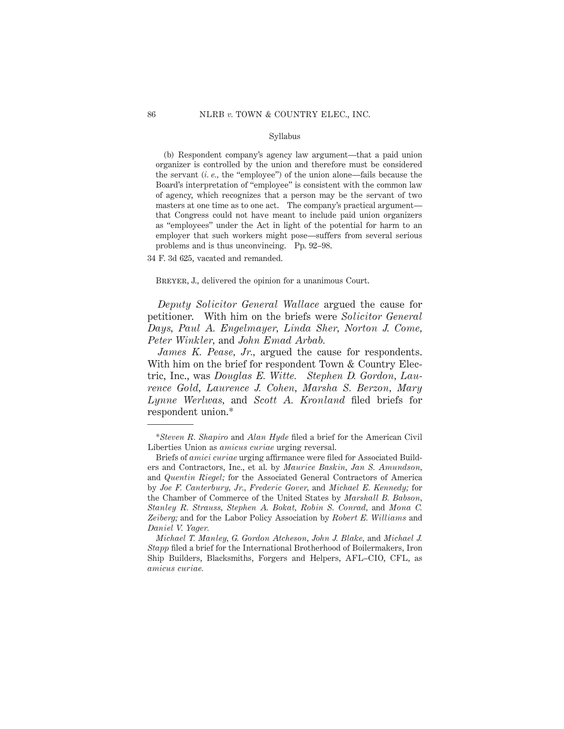#### Syllabus

(b) Respondent company's agency law argument—that a paid union organizer is controlled by the union and therefore must be considered the servant (*i. e.,* the "employee") of the union alone—fails because the Board's interpretation of "employee" is consistent with the common law of agency, which recognizes that a person may be the servant of two masters at one time as to one act. The company's practical argument that Congress could not have meant to include paid union organizers as "employees" under the Act in light of the potential for harm to an employer that such workers might pose—suffers from several serious problems and is thus unconvincing. Pp. 92–98.

34 F. 3d 625, vacated and remanded.

Breyer, J., delivered the opinion for a unanimous Court.

*Deputy Solicitor General Wallace* argued the cause for petitioner. With him on the briefs were *Solicitor General Days, Paul A. Engelmayer, Linda Sher, Norton J. Come, Peter Winkler,* and *John Emad Arbab.*

*James K. Pease, Jr.,* argued the cause for respondents. With him on the brief for respondent Town & Country Electric, Inc., was *Douglas E. Witte. Stephen D. Gordon, Laurence Gold, Laurence J. Cohen, Marsha S. Berzon, Mary Lynne Werlwas,* and *Scott A. Kronland* filed briefs for respondent union.\*

<sup>\*</sup>*Steven R. Shapiro* and *Alan Hyde* filed a brief for the American Civil Liberties Union as *amicus curiae* urging reversal.

Briefs of *amici curiae* urging affirmance were filed for Associated Builders and Contractors, Inc., et al. by *Maurice Baskin, Jan S. Amundson,* and *Quentin Riegel;* for the Associated General Contractors of America by *Joe F. Canterbury, Jr., Frederic Gover,* and *Michael E. Kennedy;* for the Chamber of Commerce of the United States by *Marshall B. Babson, Stanley R. Strauss, Stephen A. Bokat, Robin S. Conrad,* and *Mona C. Zeiberg;* and for the Labor Policy Association by *Robert E. Williams* and *Daniel V. Yager.*

*Michael T. Manley, G. Gordon Atcheson, John J. Blake,* and *Michael J. Stapp* filed a brief for the International Brotherhood of Boilermakers, Iron Ship Builders, Blacksmiths, Forgers and Helpers, AFL–CIO, CFL, as *amicus curiae.*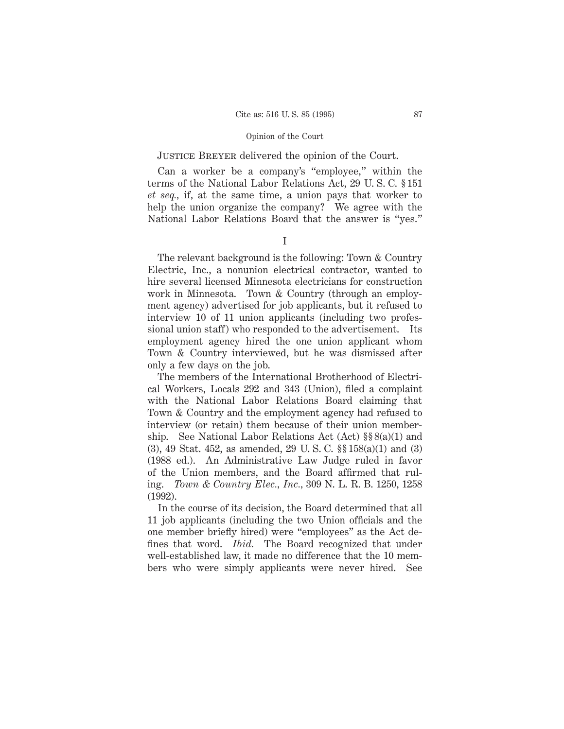# Justice Breyer delivered the opinion of the Court.

Can a worker be a company's "employee," within the terms of the National Labor Relations Act, 29 U. S. C. § 151 *et seq.,* if, at the same time, a union pays that worker to help the union organize the company? We agree with the National Labor Relations Board that the answer is "yes."

I

The relevant background is the following: Town & Country Electric, Inc., a nonunion electrical contractor, wanted to hire several licensed Minnesota electricians for construction work in Minnesota. Town & Country (through an employment agency) advertised for job applicants, but it refused to interview 10 of 11 union applicants (including two professional union staff) who responded to the advertisement. Its employment agency hired the one union applicant whom Town & Country interviewed, but he was dismissed after only a few days on the job.

The members of the International Brotherhood of Electrical Workers, Locals 292 and 343 (Union), filed a complaint with the National Labor Relations Board claiming that Town & Country and the employment agency had refused to interview (or retain) them because of their union membership. See National Labor Relations Act (Act) §§ 8(a)(1) and (3), 49 Stat. 452, as amended, 29 U. S. C. §§ 158(a)(1) and (3) (1988 ed.). An Administrative Law Judge ruled in favor of the Union members, and the Board affirmed that ruling. *Town & Country Elec., Inc.,* 309 N. L. R. B. 1250, 1258 (1992).

In the course of its decision, the Board determined that all 11 job applicants (including the two Union officials and the one member briefly hired) were "employees" as the Act defines that word. *Ibid.* The Board recognized that under well-established law, it made no difference that the 10 members who were simply applicants were never hired. See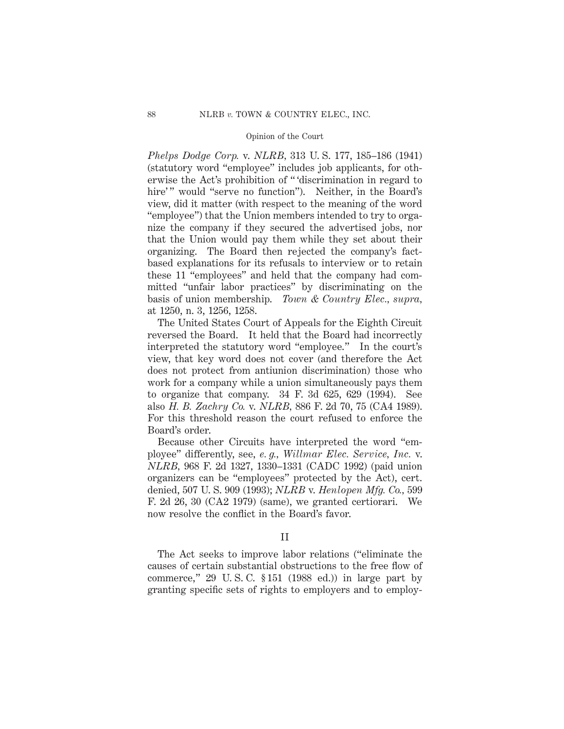*Phelps Dodge Corp.* v. *NLRB,* 313 U. S. 177, 185–186 (1941) (statutory word "employee" includes job applicants, for otherwise the Act's prohibition of " 'discrimination in regard to hire'" would "serve no function"). Neither, in the Board's view, did it matter (with respect to the meaning of the word "employee") that the Union members intended to try to organize the company if they secured the advertised jobs, nor that the Union would pay them while they set about their organizing. The Board then rejected the company's factbased explanations for its refusals to interview or to retain these 11 "employees" and held that the company had committed "unfair labor practices" by discriminating on the basis of union membership. *Town & Country Elec., supra,* at 1250, n. 3, 1256, 1258.

The United States Court of Appeals for the Eighth Circuit reversed the Board. It held that the Board had incorrectly interpreted the statutory word "employee." In the court's view, that key word does not cover (and therefore the Act does not protect from antiunion discrimination) those who work for a company while a union simultaneously pays them to organize that company. 34 F. 3d 625, 629 (1994). See also *H. B. Zachry Co.* v. *NLRB,* 886 F. 2d 70, 75 (CA4 1989). For this threshold reason the court refused to enforce the Board's order.

Because other Circuits have interpreted the word "employee" differently, see, *e. g., Willmar Elec. Service, Inc.* v. *NLRB,* 968 F. 2d 1327, 1330–1331 (CADC 1992) (paid union organizers can be "employees" protected by the Act), cert. denied, 507 U. S. 909 (1993); *NLRB* v. *Henlopen Mfg. Co.,* 599 F. 2d 26, 30 (CA2 1979) (same), we granted certiorari. We now resolve the conflict in the Board's favor.

# II

The Act seeks to improve labor relations ("eliminate the causes of certain substantial obstructions to the free flow of commerce," 29 U.S.C.  $$151$  (1988 ed.)) in large part by granting specific sets of rights to employers and to employ-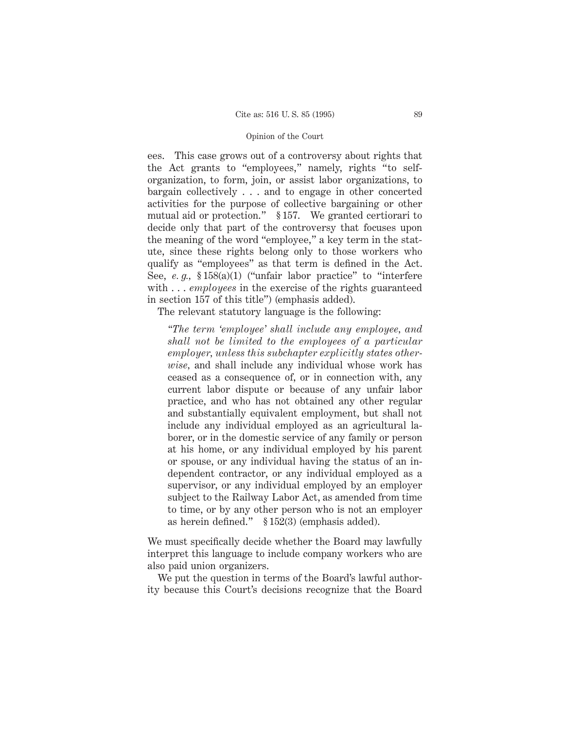ees. This case grows out of a controversy about rights that the Act grants to "employees," namely, rights "to selforganization, to form, join, or assist labor organizations, to bargain collectively . . . and to engage in other concerted activities for the purpose of collective bargaining or other mutual aid or protection." § 157. We granted certiorari to decide only that part of the controversy that focuses upon the meaning of the word "employee," a key term in the statute, since these rights belong only to those workers who qualify as "employees" as that term is defined in the Act. See, *e. g.,* § 158(a)(1) ("unfair labor practice" to "interfere with . . . *employees* in the exercise of the rights guaranteed in section 157 of this title") (emphasis added).

The relevant statutory language is the following:

*"The term 'employee' shall include any employee, and shall not be limited to the employees of a particular employer, unless this subchapter explicitly states otherwise,* and shall include any individual whose work has ceased as a consequence of, or in connection with, any current labor dispute or because of any unfair labor practice, and who has not obtained any other regular and substantially equivalent employment, but shall not include any individual employed as an agricultural laborer, or in the domestic service of any family or person at his home, or any individual employed by his parent or spouse, or any individual having the status of an independent contractor, or any individual employed as a supervisor, or any individual employed by an employer subject to the Railway Labor Act, as amended from time to time, or by any other person who is not an employer as herein defined." § 152(3) (emphasis added).

We must specifically decide whether the Board may lawfully interpret this language to include company workers who are also paid union organizers.

We put the question in terms of the Board's lawful authority because this Court's decisions recognize that the Board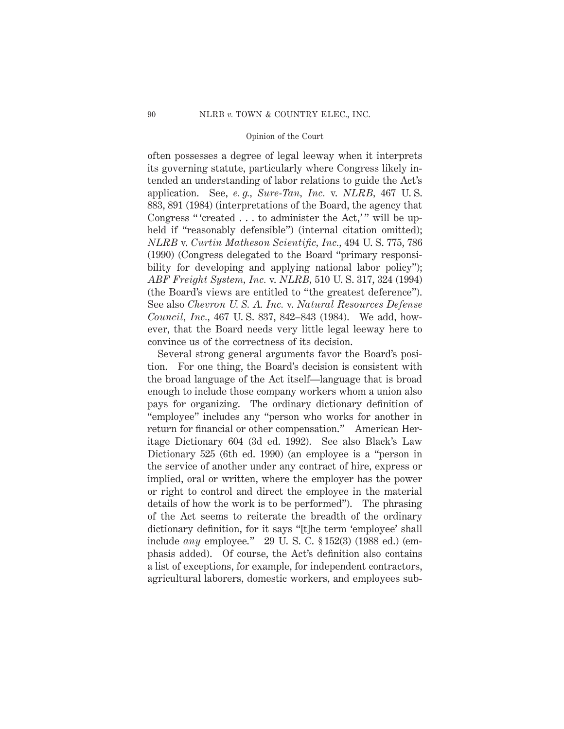often possesses a degree of legal leeway when it interprets its governing statute, particularly where Congress likely intended an understanding of labor relations to guide the Act's application. See, *e. g., Sure-Tan, Inc.* v. *NLRB,* 467 U. S. 883, 891 (1984) (interpretations of the Board, the agency that Congress "'created . . . to administer the Act,'" will be upheld if "reasonably defensible") (internal citation omitted); *NLRB* v. *Curtin Matheson Scientific, Inc.,* 494 U. S. 775, 786 (1990) (Congress delegated to the Board "primary responsibility for developing and applying national labor policy"); *ABF Freight System, Inc.* v. *NLRB,* 510 U. S. 317, 324 (1994) (the Board's views are entitled to "the greatest deference"). See also *Chevron U. S. A. Inc.* v. *Natural Resources Defense Council, Inc.,* 467 U. S. 837, 842–843 (1984). We add, however, that the Board needs very little legal leeway here to convince us of the correctness of its decision.

Several strong general arguments favor the Board's position. For one thing, the Board's decision is consistent with the broad language of the Act itself—language that is broad enough to include those company workers whom a union also pays for organizing. The ordinary dictionary definition of "employee" includes any "person who works for another in return for financial or other compensation." American Heritage Dictionary 604 (3d ed. 1992). See also Black's Law Dictionary 525 (6th ed. 1990) (an employee is a "person in the service of another under any contract of hire, express or implied, oral or written, where the employer has the power or right to control and direct the employee in the material details of how the work is to be performed"). The phrasing of the Act seems to reiterate the breadth of the ordinary dictionary definition, for it says "[t]he term 'employee' shall include *any* employee." 29 U. S. C. § 152(3) (1988 ed.) (emphasis added). Of course, the Act's definition also contains a list of exceptions, for example, for independent contractors, agricultural laborers, domestic workers, and employees sub-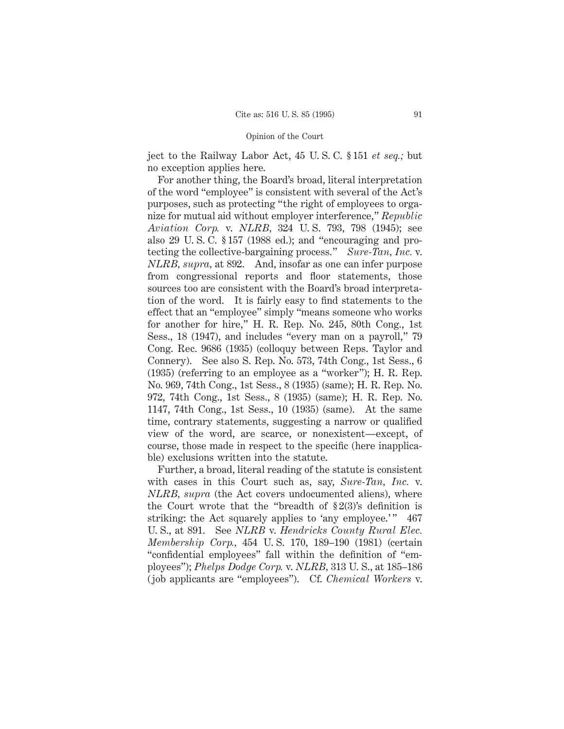ject to the Railway Labor Act, 45 U. S. C. § 151 *et seq.;* but no exception applies here.

For another thing, the Board's broad, literal interpretation of the word "employee" is consistent with several of the Act's purposes, such as protecting "the right of employees to organize for mutual aid without employer interference," *Republic Aviation Corp.* v. *NLRB,* 324 U. S. 793, 798 (1945); see also 29 U. S. C. § 157 (1988 ed.); and "encouraging and protecting the collective-bargaining process." *Sure-Tan, Inc.* v. *NLRB, supra,* at 892. And, insofar as one can infer purpose from congressional reports and floor statements, those sources too are consistent with the Board's broad interpretation of the word. It is fairly easy to find statements to the effect that an "employee" simply "means someone who works for another for hire," H. R. Rep. No. 245, 80th Cong., 1st Sess., 18 (1947), and includes "every man on a payroll," 79 Cong. Rec. 9686 (1935) (colloquy between Reps. Taylor and Connery). See also S. Rep. No. 573, 74th Cong., 1st Sess., 6 (1935) (referring to an employee as a "worker"); H. R. Rep. No. 969, 74th Cong., 1st Sess., 8 (1935) (same); H. R. Rep. No. 972, 74th Cong., 1st Sess., 8 (1935) (same); H. R. Rep. No. 1147, 74th Cong., 1st Sess., 10 (1935) (same). At the same time, contrary statements, suggesting a narrow or qualified view of the word, are scarce, or nonexistent—except, of course, those made in respect to the specific (here inapplicable) exclusions written into the statute.

Further, a broad, literal reading of the statute is consistent with cases in this Court such as, say, *Sure-Tan, Inc.* v. *NLRB, supra* (the Act covers undocumented aliens), where the Court wrote that the "breadth of § 2(3)'s definition is striking: the Act squarely applies to 'any employee.'" 467 U. S., at 891. See *NLRB* v. *Hendricks County Rural Elec. Membership Corp.,* 454 U. S. 170, 189–190 (1981) (certain "confidential employees" fall within the definition of "employees"); *Phelps Dodge Corp.* v. *NLRB,* 313 U. S., at 185–186 (job applicants are "employees"). Cf. *Chemical Workers* v.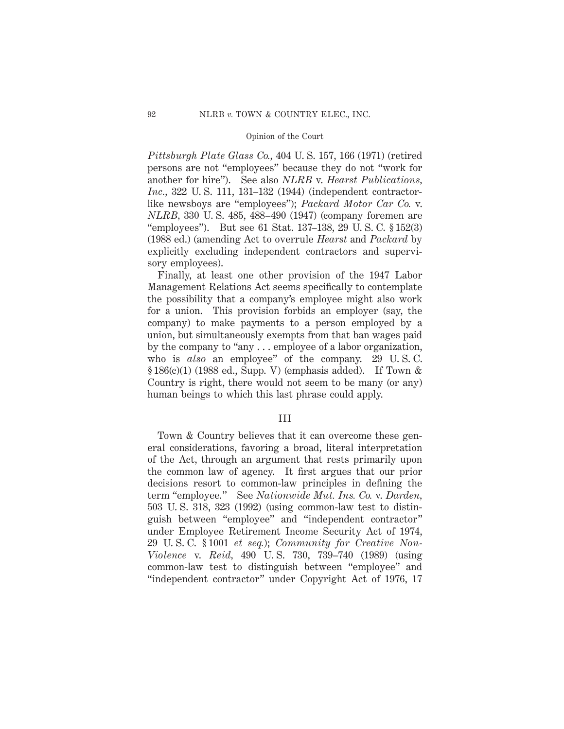*Pittsburgh Plate Glass Co.,* 404 U. S. 157, 166 (1971) (retired persons are not "employees" because they do not "work for another for hire"). See also *NLRB* v. *Hearst Publications, Inc.,* 322 U. S. 111, 131–132 (1944) (independent contractorlike newsboys are "employees"); *Packard Motor Car Co.* v. *NLRB,* 330 U. S. 485, 488–490 (1947) (company foremen are "employees"). But see 61 Stat. 137–138, 29 U. S. C. § 152(3) (1988 ed.) (amending Act to overrule *Hearst* and *Packard* by explicitly excluding independent contractors and supervisory employees).

Finally, at least one other provision of the 1947 Labor Management Relations Act seems specifically to contemplate the possibility that a company's employee might also work for a union. This provision forbids an employer (say, the company) to make payments to a person employed by a union, but simultaneously exempts from that ban wages paid by the company to "any . . . employee of a labor organization, who is *also* an employee" of the company. 29 U. S. C.  $§ 186(c)(1)$  (1988 ed., Supp. V) (emphasis added). If Town & Country is right, there would not seem to be many (or any) human beings to which this last phrase could apply.

#### III

Town & Country believes that it can overcome these general considerations, favoring a broad, literal interpretation of the Act, through an argument that rests primarily upon the common law of agency. It first argues that our prior decisions resort to common-law principles in defining the term "employee." See *Nationwide Mut. Ins. Co.* v. *Darden,* 503 U. S. 318, 323 (1992) (using common-law test to distinguish between "employee" and "independent contractor" under Employee Retirement Income Security Act of 1974, 29 U. S. C. § 1001 *et seq.*); *Community for Creative Non-Violence* v. *Reid,* 490 U. S. 730, 739–740 (1989) (using common-law test to distinguish between "employee" and "independent contractor" under Copyright Act of 1976, 17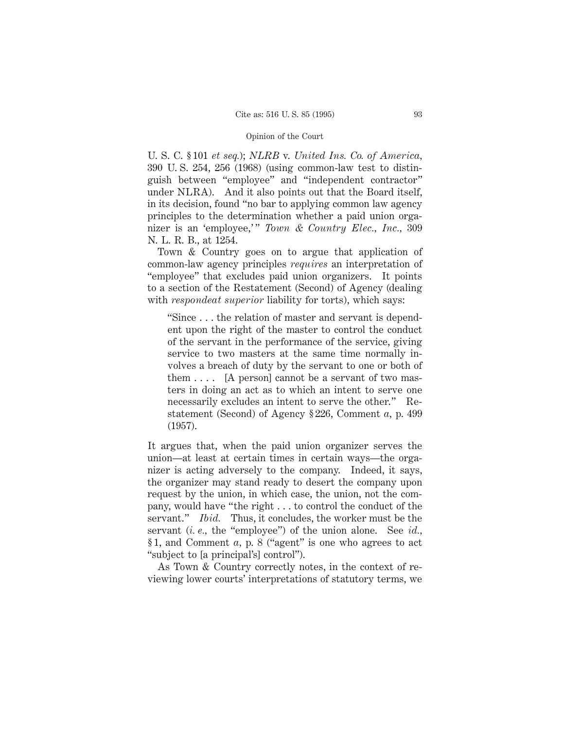U. S. C. § 101 *et seq.*); *NLRB* v. *United Ins. Co. of America,* 390 U. S. 254, 256 (1968) (using common-law test to distinguish between "employee" and "independent contractor" under NLRA). And it also points out that the Board itself, in its decision, found "no bar to applying common law agency principles to the determination whether a paid union organizer is an 'employee,'" *Town & Country Elec., Inc.*, 309 N. L. R. B., at 1254.

Town & Country goes on to argue that application of common-law agency principles *requires* an interpretation of "employee" that excludes paid union organizers. It points to a section of the Restatement (Second) of Agency (dealing with *respondeat superior* liability for torts), which says:

"Since . . . the relation of master and servant is dependent upon the right of the master to control the conduct of the servant in the performance of the service, giving service to two masters at the same time normally involves a breach of duty by the servant to one or both of them  $\dots$  [A person] cannot be a servant of two masters in doing an act as to which an intent to serve one necessarily excludes an intent to serve the other." Restatement (Second) of Agency § 226, Comment *a,* p. 499 (1957).

It argues that, when the paid union organizer serves the union—at least at certain times in certain ways—the organizer is acting adversely to the company. Indeed, it says, the organizer may stand ready to desert the company upon request by the union, in which case, the union, not the company, would have "the right . . . to control the conduct of the servant." *Ibid.* Thus, it concludes, the worker must be the servant (*i. e.,* the "employee") of the union alone. See *id.,* § 1, and Comment *a,* p. 8 ("agent" is one who agrees to act "subject to [a principal's] control").

As Town & Country correctly notes, in the context of reviewing lower courts' interpretations of statutory terms, we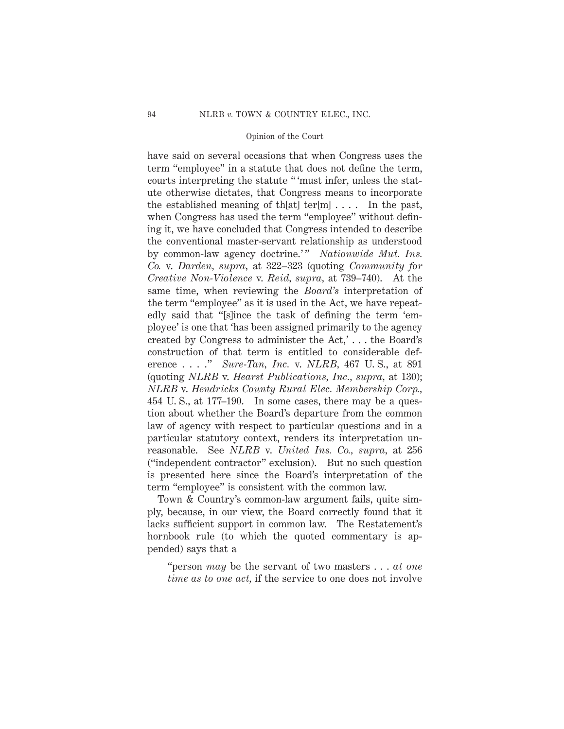have said on several occasions that when Congress uses the term "employee" in a statute that does not define the term, courts interpreting the statute " 'must infer, unless the statute otherwise dictates, that Congress means to incorporate the established meaning of the  $[at]$  terement in the past, when Congress has used the term "employee" without defining it, we have concluded that Congress intended to describe the conventional master-servant relationship as understood by common-law agency doctrine.'" *Nationwide Mut. Ins. Co.* v. *Darden, supra,* at 322–323 (quoting *Community for Creative Non-Violence* v. *Reid, supra,* at 739–740). At the same time, when reviewing the *Board's* interpretation of the term "employee" as it is used in the Act, we have repeatedly said that "[s]ince the task of defining the term 'employee' is one that 'has been assigned primarily to the agency created by Congress to administer the Act,' . . . the Board's construction of that term is entitled to considerable deference . . . ." *Sure-Tan, Inc.* v. *NLRB,* 467 U. S., at 891 (quoting *NLRB* v. *Hearst Publications, Inc., supra,* at 130); *NLRB* v. *Hendricks County Rural Elec. Membership Corp.,* 454 U. S., at 177–190. In some cases, there may be a question about whether the Board's departure from the common law of agency with respect to particular questions and in a particular statutory context, renders its interpretation unreasonable. See *NLRB* v. *United Ins. Co., supra,* at 256 ("independent contractor" exclusion). But no such question is presented here since the Board's interpretation of the term "employee" is consistent with the common law.

Town & Country's common-law argument fails, quite simply, because, in our view, the Board correctly found that it lacks sufficient support in common law. The Restatement's hornbook rule (to which the quoted commentary is appended) says that a

"person *may* be the servant of two masters... *at one time as to one act,* if the service to one does not involve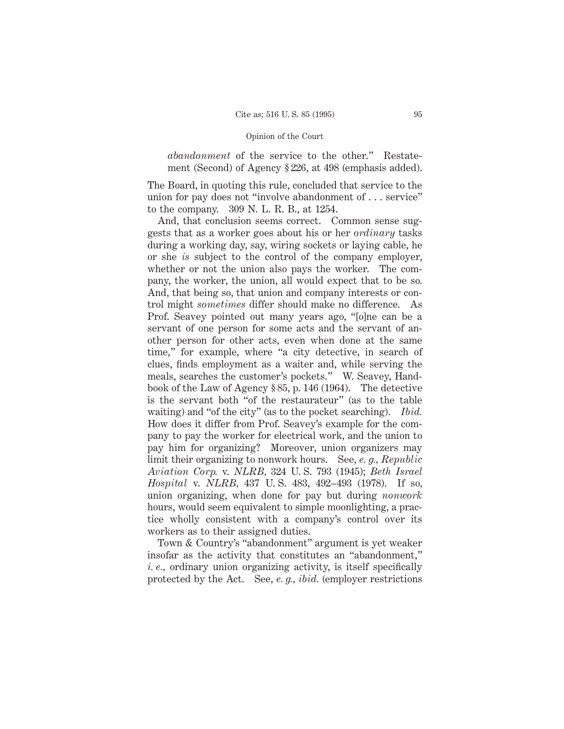*abandonment* of the service to the other." Restatement (Second) of Agency § 226, at 498 (emphasis added).

The Board, in quoting this rule, concluded that service to the union for pay does not "involve abandonment of . . . service" to the company. 309 N. L. R. B., at 1254.

And, that conclusion seems correct. Common sense suggests that as a worker goes about his or her *ordinary* tasks during a working day, say, wiring sockets or laying cable, he or she *is* subject to the control of the company employer, whether or not the union also pays the worker. The company, the worker, the union, all would expect that to be so. And, that being so, that union and company interests or control might *sometimes* differ should make no difference. As Prof. Seavey pointed out many years ago, "[o]ne can be a servant of one person for some acts and the servant of another person for other acts, even when done at the same time," for example, where "a city detective, in search of clues, finds employment as a waiter and, while serving the meals, searches the customer's pockets." W. Seavey, Handbook of the Law of Agency § 85, p. 146 (1964). The detective is the servant both "of the restaurateur" (as to the table waiting) and "of the city" (as to the pocket searching). *Ibid.* How does it differ from Prof. Seavey's example for the company to pay the worker for electrical work, and the union to pay him for organizing? Moreover, union organizers may limit their organizing to nonwork hours. See, *e. g., Republic Aviation Corp.* v. *NLRB,* 324 U. S. 793 (1945); *Beth Israel Hospital* v. *NLRB,* 437 U. S. 483, 492–493 (1978). If so, union organizing, when done for pay but during *nonwork* hours, would seem equivalent to simple moonlighting, a practice wholly consistent with a company's control over its workers as to their assigned duties.

Town & Country's "abandonment" argument is yet weaker insofar as the activity that constitutes an "abandonment," *i. e.,* ordinary union organizing activity, is itself specifically protected by the Act. See, *e. g., ibid.* (employer restrictions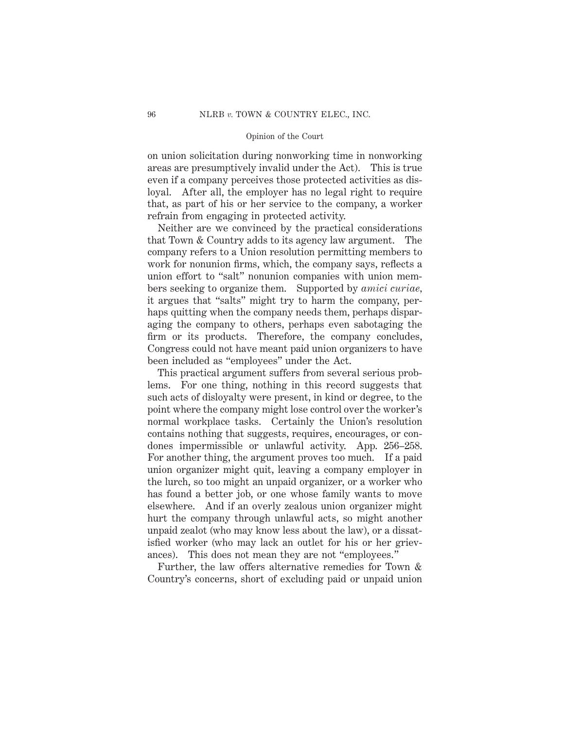on union solicitation during nonworking time in nonworking areas are presumptively invalid under the Act). This is true even if a company perceives those protected activities as disloyal. After all, the employer has no legal right to require that, as part of his or her service to the company, a worker refrain from engaging in protected activity.

Neither are we convinced by the practical considerations that Town & Country adds to its agency law argument. The company refers to a Union resolution permitting members to work for nonunion firms, which, the company says, reflects a union effort to "salt" nonunion companies with union members seeking to organize them. Supported by *amici curiae,* it argues that "salts" might try to harm the company, perhaps quitting when the company needs them, perhaps disparaging the company to others, perhaps even sabotaging the firm or its products. Therefore, the company concludes, Congress could not have meant paid union organizers to have been included as "employees" under the Act.

This practical argument suffers from several serious problems. For one thing, nothing in this record suggests that such acts of disloyalty were present, in kind or degree, to the point where the company might lose control over the worker's normal workplace tasks. Certainly the Union's resolution contains nothing that suggests, requires, encourages, or condones impermissible or unlawful activity. App. 256–258. For another thing, the argument proves too much. If a paid union organizer might quit, leaving a company employer in the lurch, so too might an unpaid organizer, or a worker who has found a better job, or one whose family wants to move elsewhere. And if an overly zealous union organizer might hurt the company through unlawful acts, so might another unpaid zealot (who may know less about the law), or a dissatisfied worker (who may lack an outlet for his or her grievances). This does not mean they are not "employees."

Further, the law offers alternative remedies for Town & Country's concerns, short of excluding paid or unpaid union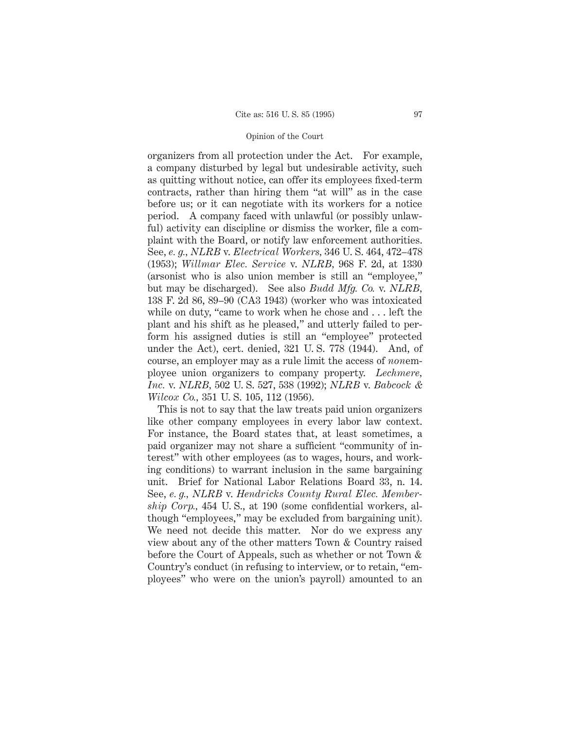organizers from all protection under the Act. For example, a company disturbed by legal but undesirable activity, such as quitting without notice, can offer its employees fixed-term contracts, rather than hiring them "at will" as in the case before us; or it can negotiate with its workers for a notice period. A company faced with unlawful (or possibly unlawful) activity can discipline or dismiss the worker, file a complaint with the Board, or notify law enforcement authorities. See, *e. g., NLRB* v. *Electrical Workers,* 346 U. S. 464, 472–478 (1953); *Willmar Elec. Service* v. *NLRB,* 968 F. 2d, at 1330 (arsonist who is also union member is still an "employee," but may be discharged). See also *Budd Mfg. Co.* v. *NLRB,* 138 F. 2d 86, 89–90 (CA3 1943) (worker who was intoxicated while on duty, "came to work when he chose and . . . left the plant and his shift as he pleased," and utterly failed to perform his assigned duties is still an "employee" protected under the Act), cert. denied, 321 U. S. 778 (1944). And, of course, an employer may as a rule limit the access of *non*employee union organizers to company property. *Lechmere, Inc.* v. *NLRB,* 502 U. S. 527, 538 (1992); *NLRB* v. *Babcock & Wilcox Co.,* 351 U. S. 105, 112 (1956).

This is not to say that the law treats paid union organizers like other company employees in every labor law context. For instance, the Board states that, at least sometimes, a paid organizer may not share a sufficient "community of interest" with other employees (as to wages, hours, and working conditions) to warrant inclusion in the same bargaining unit. Brief for National Labor Relations Board 33, n. 14. See, *e. g., NLRB* v. *Hendricks County Rural Elec. Membership Corp.,* 454 U. S., at 190 (some confidential workers, although "employees," may be excluded from bargaining unit). We need not decide this matter. Nor do we express any view about any of the other matters Town & Country raised before the Court of Appeals, such as whether or not Town & Country's conduct (in refusing to interview, or to retain, "employees" who were on the union's payroll) amounted to an